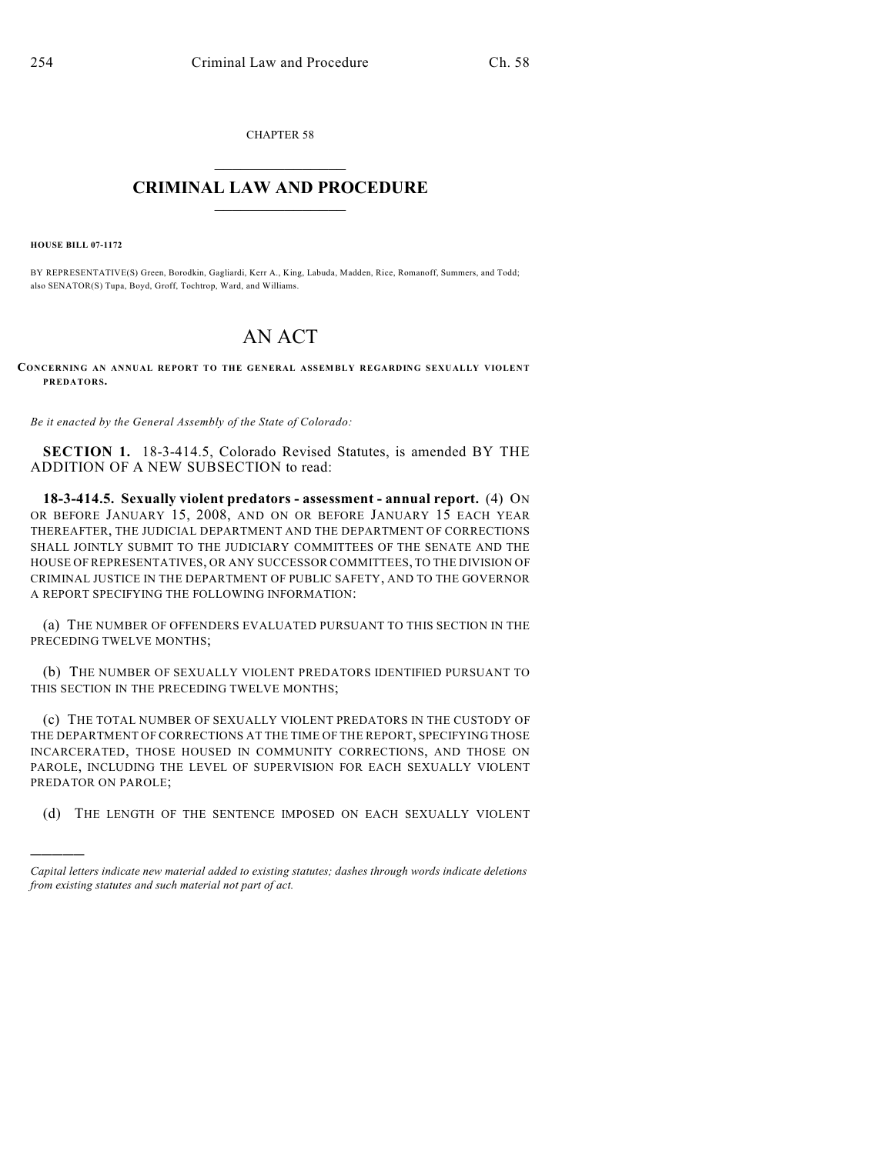CHAPTER 58

## $\mathcal{L}_\text{max}$  . The set of the set of the set of the set of the set of the set of the set of the set of the set of the set of the set of the set of the set of the set of the set of the set of the set of the set of the set **CRIMINAL LAW AND PROCEDURE**  $\frac{1}{2}$  ,  $\frac{1}{2}$  ,  $\frac{1}{2}$  ,  $\frac{1}{2}$  ,  $\frac{1}{2}$  ,  $\frac{1}{2}$  ,  $\frac{1}{2}$

**HOUSE BILL 07-1172**

)))))

BY REPRESENTATIVE(S) Green, Borodkin, Gagliardi, Kerr A., King, Labuda, Madden, Rice, Romanoff, Summers, and Todd; also SENATOR(S) Tupa, Boyd, Groff, Tochtrop, Ward, and Williams.

## AN ACT

**CONCERNING AN ANNUAL REPORT TO THE GENERAL ASSEMBLY REGARDING SEXUALLY VIOLENT PREDATORS.**

*Be it enacted by the General Assembly of the State of Colorado:*

**SECTION 1.** 18-3-414.5, Colorado Revised Statutes, is amended BY THE ADDITION OF A NEW SUBSECTION to read:

**18-3-414.5. Sexually violent predators - assessment - annual report.** (4) ON OR BEFORE JANUARY 15, 2008, AND ON OR BEFORE JANUARY 15 EACH YEAR THEREAFTER, THE JUDICIAL DEPARTMENT AND THE DEPARTMENT OF CORRECTIONS SHALL JOINTLY SUBMIT TO THE JUDICIARY COMMITTEES OF THE SENATE AND THE HOUSE OF REPRESENTATIVES, OR ANY SUCCESSOR COMMITTEES, TO THE DIVISION OF CRIMINAL JUSTICE IN THE DEPARTMENT OF PUBLIC SAFETY, AND TO THE GOVERNOR A REPORT SPECIFYING THE FOLLOWING INFORMATION:

(a) THE NUMBER OF OFFENDERS EVALUATED PURSUANT TO THIS SECTION IN THE PRECEDING TWELVE MONTHS;

(b) THE NUMBER OF SEXUALLY VIOLENT PREDATORS IDENTIFIED PURSUANT TO THIS SECTION IN THE PRECEDING TWELVE MONTHS;

(c) THE TOTAL NUMBER OF SEXUALLY VIOLENT PREDATORS IN THE CUSTODY OF THE DEPARTMENT OF CORRECTIONS AT THE TIME OF THE REPORT, SPECIFYING THOSE INCARCERATED, THOSE HOUSED IN COMMUNITY CORRECTIONS, AND THOSE ON PAROLE, INCLUDING THE LEVEL OF SUPERVISION FOR EACH SEXUALLY VIOLENT PREDATOR ON PAROLE;

(d) THE LENGTH OF THE SENTENCE IMPOSED ON EACH SEXUALLY VIOLENT

*Capital letters indicate new material added to existing statutes; dashes through words indicate deletions from existing statutes and such material not part of act.*